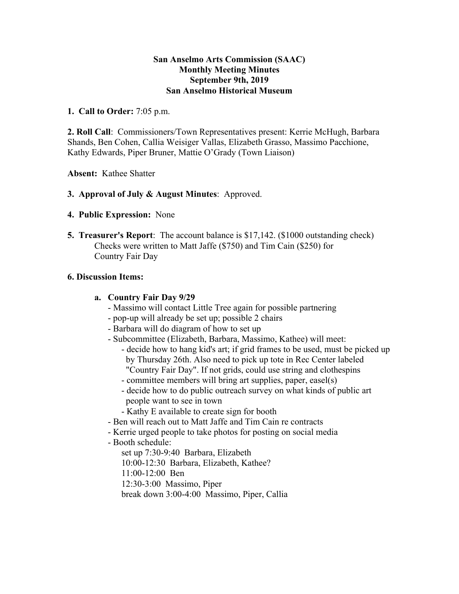## **San Anselmo Arts Commission (SAAC) Monthly Meeting Minutes September 9th, 2019 San Anselmo Historical Museum**

### **1. Call to Order:** 7:05 p.m.

**2. Roll Call**: Commissioners/Town Representatives present: Kerrie McHugh, Barbara Shands, Ben Cohen, Callia Weisiger Vallas, Elizabeth Grasso, Massimo Pacchione, Kathy Edwards, Piper Bruner, Mattie O'Grady (Town Liaison)

**Absent:** Kathee Shatter

### **3. Approval of July & August Minutes**: Approved.

### **4. Public Expression:** None

**5. Treasurer's Report**: The account balance is \$17,142. (\$1000 outstanding check) Checks were written to Matt Jaffe (\$750) and Tim Cain (\$250) for Country Fair Day

## **6. Discussion Items:**

### **a. Country Fair Day 9/29**

- Massimo will contact Little Tree again for possible partnering
- pop-up will already be set up; possible 2 chairs
- Barbara will do diagram of how to set up
- Subcommittee (Elizabeth, Barbara, Massimo, Kathee) will meet:
	- decide how to hang kid's art; if grid frames to be used, must be picked up by Thursday 26th. Also need to pick up tote in Rec Center labeled "Country Fair Day". If not grids, could use string and clothespins
	- committee members will bring art supplies, paper, easel(s)
	- decide how to do public outreach survey on what kinds of public art people want to see in town
	- Kathy E available to create sign for booth
- Ben will reach out to Matt Jaffe and Tim Cain re contracts
- Kerrie urged people to take photos for posting on social media
- Booth schedule:
	- set up 7:30-9:40 Barbara, Elizabeth
	- 10:00-12:30 Barbara, Elizabeth, Kathee?
	- 11:00-12:00 Ben
	- 12:30-3:00 Massimo, Piper
	- break down 3:00-4:00 Massimo, Piper, Callia